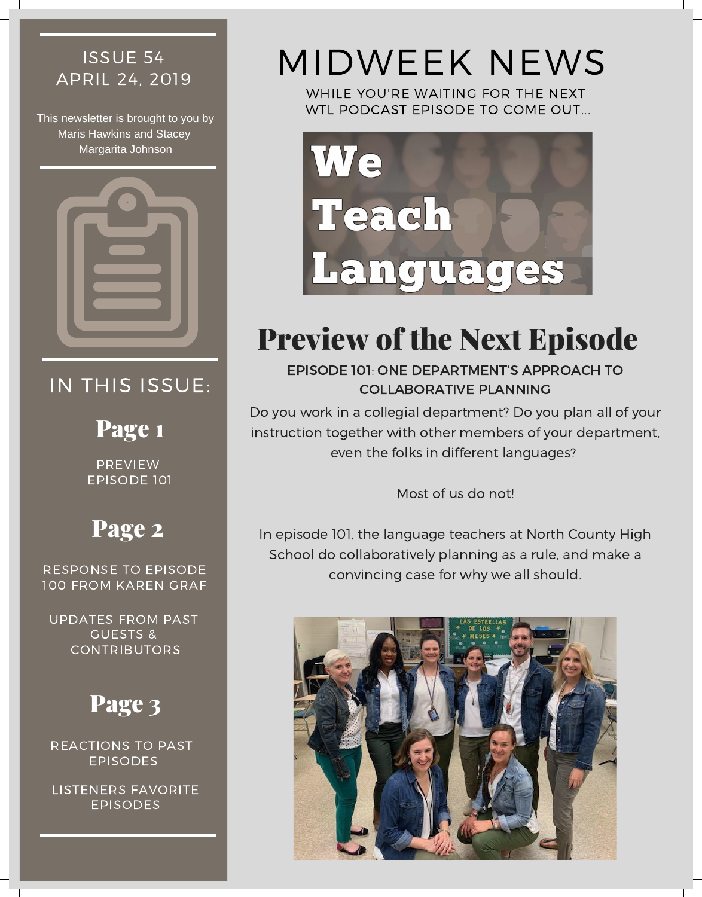# ISSUE 54

This newsletter is brought to you by Maris Hawkins and Stacey Margarita Johnson



### IN THIS ISSUE:

### Page 1

PREVIEW EPISODE 101

## Page 2

100 FROM KAREN GRAF

UPDATES FROM PAST GUESTS & CONTRIBUTORS

# Page 3

REACTIONS TO PAST EPISODES

LISTENERS FAVORITE EPISODES

# ISSUE 54 MIDWEEK NEWS

WHILE YOU'RE WAITING FOR THE NEXT WTL PODCAST EPISODE TO COME OUT...



# Preview of the Next Episode

EPISODE 101: ONE DEPARTMENT'S APPROACH TO COLLABORATIVE PLANNING

Do you work in a collegial department? Do you plan all of your instruction together with other members of your department, even the folks in different languages?

Most of us do not!

In episode 101, the language teachers at North County High School do collaboratively planning as a rule, and make a convincing case for why we all should. RESPONSE TO EPISODE

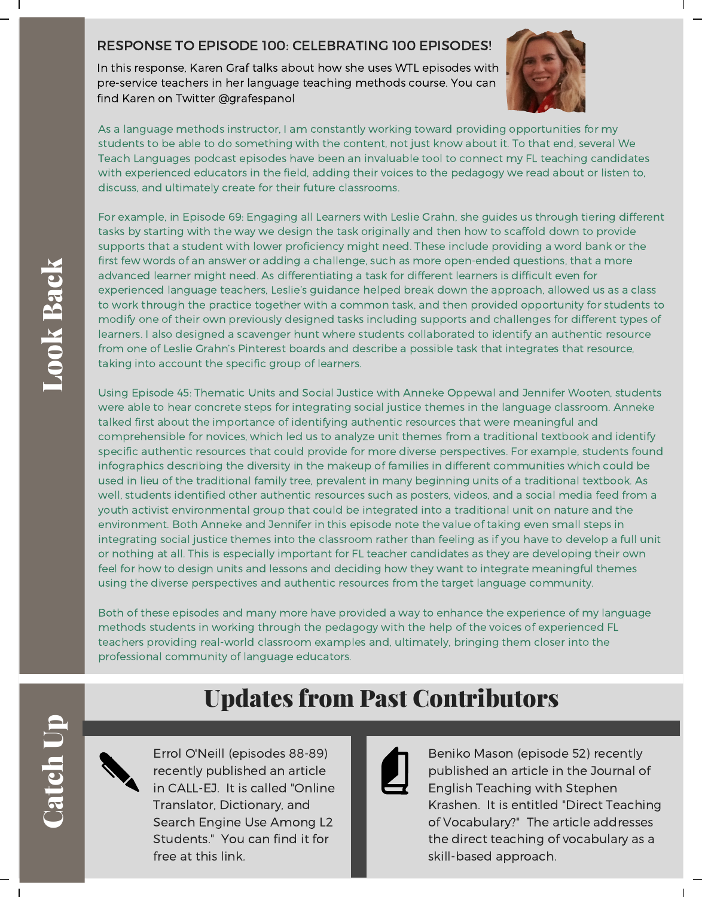### RESPONSE TO EPISODE 100: [CELEBRATING](https://weteachlang.com/2019/04/19/ep-100/) 100 EPISODES!

In this response, Karen Graf talks about how she uses WTL episodes with pre-service teachers in her language teaching methods course. You can find Karen on Twitter [@grafespanol](https://twitter.com/grafespanol)



As a language methods instructor, I am constantly working toward providing opportunities for my students to be able to do something with the content, not just know about it. To that end, several We Teach Languages podcast episodes have been an invaluable tool to connect my FL teaching candidates with experienced educators in the field, adding their voices to the pedagogy we read about or listen to, discuss, and ultimately create for their future classrooms.

For example, in Episode 69: Engaging all Learners with Leslie Grahn, she guides us through tiering different tasks by starting with the way we design the task originally and then how to scaffold down to provide supports that a student with lower proficiency might need. These include providing a word bank or the first few words of an answer or adding a challenge, such as more open-ended questions, that a more advanced learner might need. As differentiating a task for different learners is difficult even for experienced language teachers, Leslie's guidance helped break down the approach, allowed us as a class to work through the practice together with a common task, and then provided opportunity for students to modify one of their own previously designed tasks including supports and challenges for different types of learners. I also designed a scavenger hunt where students collaborated to identify an authentic resource from one of Leslie Grahn's Pinterest boards and describe a possible task that integrates that resource, taking into account the specific group of learners.

Using Episode 45: Thematic Units and Social Justice with Anneke Oppewal and Jennifer Wooten, students were able to hear concrete steps for integrating social justice themes in the language classroom. Anneke talked first about the importance of identifying authentic resources that were meaningful and comprehensible for novices, which led us to analyze unit themes from a traditional textbook and identify specific authentic resources that could provide for more diverse perspectives. For example, students found infographics describing the diversity in the makeup of families in different communities which could be used in lieu of the traditional family tree, prevalent in many beginning units of a traditional textbook. As well, students identified other authentic resources such as posters, videos, and a social media feed from a youth activist environmental group that could be integrated into a traditional unit on nature and the environment. Both Anneke and Jennifer in this episode note the value of taking even small steps in integrating social justice themes into the classroom rather than feeling as if you have to develop a full unit or nothing at all. This is especially important for FL teacher candidates as they are developing their own feel for how to design units and lessons and deciding how they want to integrate meaningful themes using the diverse perspectives and authentic resources from the target language community.

Both of these episodes and many more have provided a way to enhance the experience of my language methods students in working through the pedagogy with the help of the voices of experienced FL teachers providing real-world classroom examples and, ultimately, bringing them closer into the professional community of language educators.

Updates from Past Contributors

### **ad**  $\overline{\phantom{a}}$  $\mathbf{e}$ h $\Box$  $\mathbf{\underline{a}}$

 $\bigcup$ 

Errol O'Neill (episodes 88-89) recently published an article in CALL-EJ. It is called "Online Translator, [Dictionary,](http://callej.org/journal/20-1/O) and Search Engine Use Among L2 Students." You can find it for free at this link.

Beniko Mason (episode 52) recently published an article in the Journal of English Teaching with Stephen Krashen. It is entitled "Direct Teaching of [Vocabulary?"](http://sdkrashen.com/content/articles/2019_krashen_and_mason_direct.pdf) The article addresses the direct teaching of vocabulary as a skill-based approach.